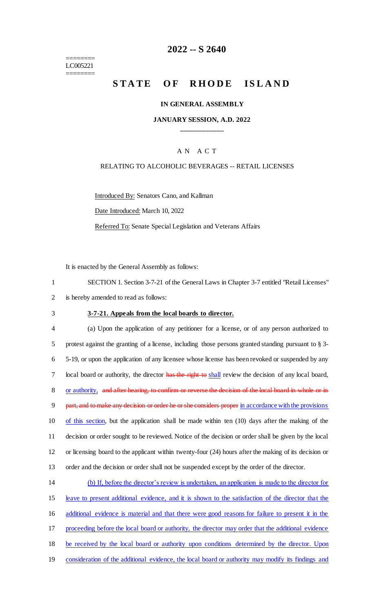======== LC005221 ========

## **2022 -- S 2640**

# **STATE OF RHODE ISLAND**

#### **IN GENERAL ASSEMBLY**

## **JANUARY SESSION, A.D. 2022 \_\_\_\_\_\_\_\_\_\_\_\_**

## A N A C T

#### RELATING TO ALCOHOLIC BEVERAGES -- RETAIL LICENSES

Introduced By: Senators Cano, and Kallman

Date Introduced: March 10, 2022

Referred To: Senate Special Legislation and Veterans Affairs

It is enacted by the General Assembly as follows:

|   | SECTION 1. Section 3-7-21 of the General Laws in Chapter 3-7 entitled "Retail Licenses" |
|---|-----------------------------------------------------------------------------------------|
| 2 | is hereby amended to read as follows:                                                   |

## 3 **3-7-21. Appeals from the local boards to director.**

 (a) Upon the application of any petitioner for a license, or of any person authorized to protest against the granting of a license, including those persons granted standing pursuant to § 3- 5-19, or upon the application of any licensee whose license has been revoked or suspended by any 7 local board or authority, the director has the right to shall review the decision of any local board, or authority, and after hearing, to confirm or reverse the decision of the local board in whole or in 9 part, and to make any decision or order he or she considers proper in accordance with the provisions 10 of this section, but the application shall be made within ten (10) days after the making of the decision or order sought to be reviewed. Notice of the decision or order shall be given by the local or licensing board to the applicant within twenty-four (24) hours after the making of its decision or order and the decision or order shall not be suspended except by the order of the director.

| 14 | (b) If, before the director's review is undertaken, an application is made to the director for      |
|----|-----------------------------------------------------------------------------------------------------|
| 15 | leave to present additional evidence, and it is shown to the satisfaction of the director that the  |
| 16 | additional evidence is material and that there were good reasons for failure to present it in the   |
| 17 | proceeding before the local board or authority, the director may order that the additional evidence |
| 18 | be received by the local board or authority upon conditions determined by the director. Upon        |
| 19 | consideration of the additional evidence, the local board or authority may modify its findings and  |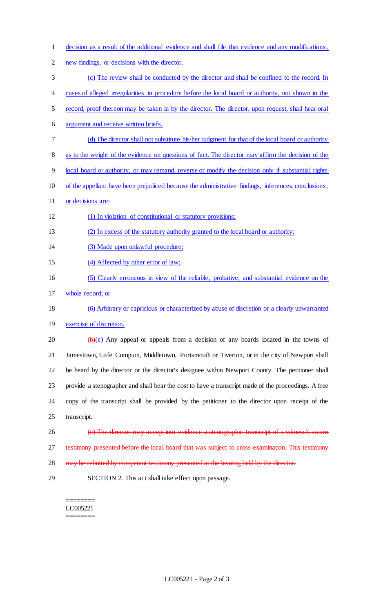decision as a result of the additional evidence and shall file that evidence and any modifications, new findings, or decisions with the director. (c) The review shall be conducted by the director and shall be confined to the record. In cases of alleged irregularities in procedure before the local board or authority, not shown in the record, proof thereon may be taken in by the director. The director, upon request, shall hear oral argument and receive written briefs. (d) The director shall not substitute his/her judgment for that of the local board or authority as to the weight of the evidence on questions of fact. The director may affirm the decision of the local board or authority, or may remand, reverse or modify the decision only if substantial rights of the appellant have been prejudiced because the administrative findings, inferences, conclusions, 11 or decisions are: (1) In violation of constitutional or statutory provisions; (2) In excess of the statutory authority granted to the local board or authority; (3) Made upon unlawful procedure; 15 (4) Affected by other error of law; (5) Clearly erroneous in view of the reliable, probative, and substantial evidence on the whole record; or (6) Arbitrary or capricious or characterized by abuse of discretion or a clearly unwarranted exercise of discretion.  $\left(\frac{b}{e}\right)$  Any appeal or appeals from a decision of any boards located in the towns of Jamestown, Little Compton, Middletown, Portsmouth or Tiverton, or in the city of Newport shall be heard by the director or the director's designee within Newport County. The petitioner shall provide a stenographer and shall bear the cost to have a transcript made of the proceedings. A free copy of the transcript shall be provided by the petitioner to the director upon receipt of the transcript. (c) The director may accept into evidence a stenographic transcript of a witness's sworn testimony presented before the local board that was subject to cross examination. This testimony 28 may be rebutted by competent testimony presented at the hearing held by the director. SECTION 2. This act shall take effect upon passage.

======== LC005221 ========